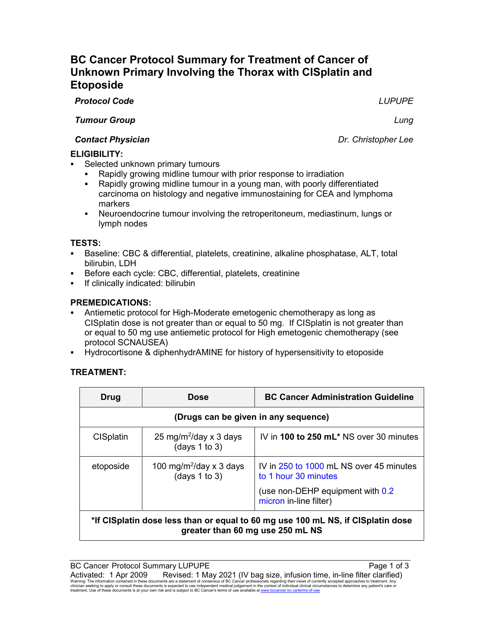# *Tumour Group Lung Contact Physician Dr. Christopher Lee* **ELIGIBILITY:**

- Selected unknown primary tumours
	- Rapidly growing midline tumour with prior response to irradiation
	- Rapidly growing midline tumour in a young man, with poorly differentiated carcinoma on histology and negative immunostaining for CEA and lymphoma markers
	- Neuroendocrine tumour involving the retroperitoneum, mediastinum, lungs or lymph nodes

# **TESTS:**

- Baseline: CBC & differential, platelets, creatinine, alkaline phosphatase, ALT, total bilirubin, LDH
- Before each cycle: CBC, differential, platelets, creatinine
- If clinically indicated: bilirubin

## **PREMEDICATIONS:**

- Antiemetic protocol for High-Moderate emetogenic chemotherapy as long as CISplatin dose is not greater than or equal to 50 mg. If CISplatin is not greater than or equal to 50 mg use antiemetic protocol for High emetogenic chemotherapy (see protocol SCNAUSEA)
- Hydrocortisone & diphenhydrAMINE for history of hypersensitivity to etoposide

# **TREATMENT:**

| Drug                                                                                                                | <b>Dose</b>                                               | <b>BC Cancer Administration Guideline</b>                       |  |  |  |
|---------------------------------------------------------------------------------------------------------------------|-----------------------------------------------------------|-----------------------------------------------------------------|--|--|--|
| (Drugs can be given in any sequence)                                                                                |                                                           |                                                                 |  |  |  |
| <b>CISplatin</b>                                                                                                    | 25 mg/m <sup>2</sup> /day x 3 days<br>(days $1$ to $3$ )  | IV in 100 to 250 mL* NS over 30 minutes                         |  |  |  |
| etoposide                                                                                                           | 100 mg/m <sup>2</sup> /day x 3 days<br>(days $1$ to $3$ ) | IV in 250 to 1000 mL NS over 45 minutes<br>to 1 hour 30 minutes |  |  |  |
|                                                                                                                     |                                                           | (use non-DEHP equipment with 0.2)<br>micron in-line filter)     |  |  |  |
| *If CISplatin dose less than or equal to 60 mg use 100 mL NS, if CISplatin dose<br>greater than 60 mg use 250 mL NS |                                                           |                                                                 |  |  |  |

*Protocol Code LUPUPE*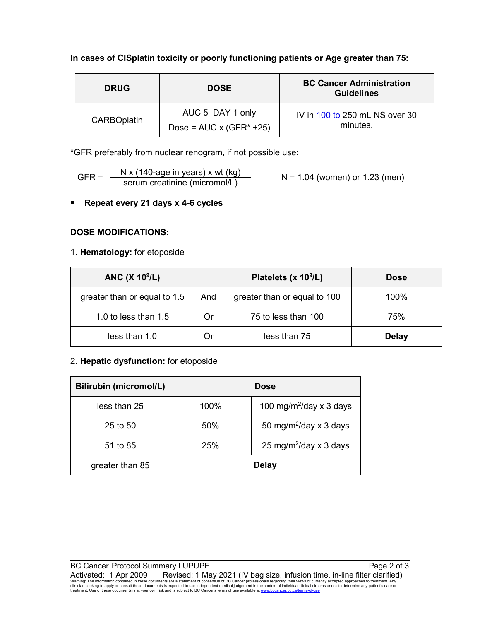## **In cases of CISplatin toxicity or poorly functioning patients or Age greater than 75:**

| <b>DRUG</b>        | <b>DOSE</b>                                         | <b>BC Cancer Administration</b><br><b>Guidelines</b> |  |
|--------------------|-----------------------------------------------------|------------------------------------------------------|--|
| <b>CARBOplatin</b> | AUC 5 DAY 1 only<br>Dose = $AUC \times (GFR^* +25)$ | IV in 100 to 250 mL NS over 30<br>minutes.           |  |

\*GFR preferably from nuclear renogram, if not possible use:

$$
GFR = \frac{N x (140 \text{-age in years}) x wt (kg)}{serum creationine (micromol/L)}
$$
 N = 1.04 (women) or 1.23 (men)

**Repeat every 21 days x 4-6 cycles**

## **DOSE MODIFICATIONS:**

## 1. **Hematology:** for etoposide

| <b>ANC (X 10<sup>9</sup>/L)</b> |     | Platelets (x 10 <sup>9</sup> /L) | <b>Dose</b>  |
|---------------------------------|-----|----------------------------------|--------------|
| greater than or equal to 1.5    | And | greater than or equal to 100     | 100%         |
| 1.0 to less than $1.5$          | Or  | 75 to less than 100              | 75%          |
| less than 1.0                   | Or  | less than 75                     | <b>Delay</b> |

## 2. **Hepatic dysfunction:** for etoposide

| <b>Bilirubin (micromol/L)</b> | <b>Dose</b>  |                                           |  |
|-------------------------------|--------------|-------------------------------------------|--|
| less than 25                  | 100%         | 100 mg/m <sup>2</sup> /day x 3 days       |  |
| $25$ to $50$                  | 50%          | 50 mg/m <sup>2</sup> /day $\times$ 3 days |  |
| 51 to 85                      | 25%          | 25 mg/m <sup>2</sup> /day x 3 days        |  |
| greater than 85               | <b>Delay</b> |                                           |  |